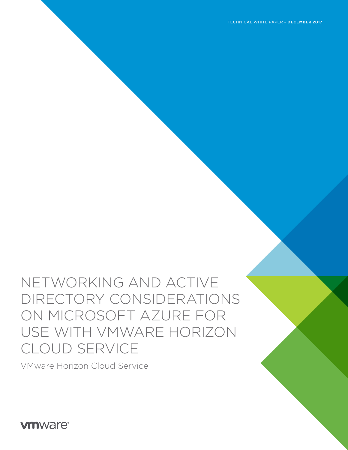NETWORKING AND ACTIVE DIRECTORY CONSIDERATIONS ON MICROSOFT AZURE FOR USE WITH VMWARE HORIZON CLOUD SERVICE

VMware Horizon Cloud Service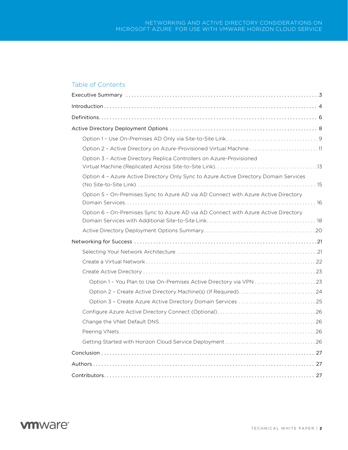## Table of Contents

| Option 2 - Active Directory on Azure-Provisioned Virtual Machine 11                   |  |
|---------------------------------------------------------------------------------------|--|
| Option 3 - Active Directory Replica Controllers on Azure-Provisioned                  |  |
| Option 4 - Azure Active Directory Only Sync to Azure Active Directory Domain Services |  |
| Option 5 - On-Premises Sync to Azure AD via AD Connect with Azure Active Directory    |  |
| Option 6 - On-Premises Sync to Azure AD via AD Connect with Azure Active Directory    |  |
|                                                                                       |  |
|                                                                                       |  |
|                                                                                       |  |
|                                                                                       |  |
|                                                                                       |  |
|                                                                                       |  |
| Option 2 - Create Active Directory Machine(s) (If Required)24                         |  |
|                                                                                       |  |
|                                                                                       |  |
|                                                                                       |  |
|                                                                                       |  |
|                                                                                       |  |
|                                                                                       |  |
|                                                                                       |  |
|                                                                                       |  |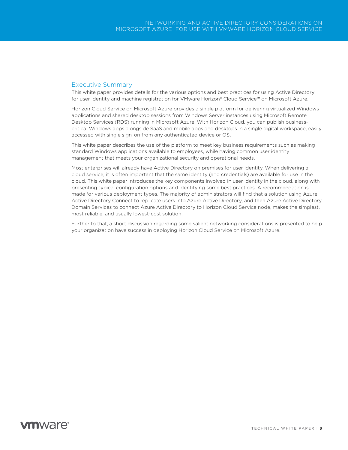### <span id="page-2-0"></span>Executive Summary

This white paper provides details for the various options and best practices for using Active Directory for user identity and machine registration for VMware Horizon® Cloud Service™ on Microsoft Azure.

Horizon Cloud Service on Microsoft Azure provides a single platform for delivering virtualized Windows applications and shared desktop sessions from Windows Server instances using Microsoft Remote Desktop Services (RDS) running in Microsoft Azure. With Horizon Cloud, you can publish businesscritical Windows apps alongside SaaS and mobile apps and desktops in a single digital workspace, easily accessed with single sign-on from any authenticated device or OS.

This white paper describes the use of the platform to meet key business requirements such as making standard Windows applications available to employees, while having common user identity management that meets your organizational security and operational needs.

Most enterprises will already have Active Directory on premises for user identity. When delivering a cloud service, it is often important that the same identity (and credentials) are available for use in the cloud. This white paper introduces the key components involved in user identity in the cloud, along with presenting typical configuration options and identifying some best practices. A recommendation is made for various deployment types. The majority of administrators will find that a solution using Azure Active Directory Connect to replicate users into Azure Active Directory, and then Azure Active Directory Domain Services to connect Azure Active Directory to Horizon Cloud Service node, makes the simplest, most reliable, and usually lowest-cost solution.

Further to that, a short discussion regarding some salient networking considerations is presented to help your organization have success in deploying Horizon Cloud Service on Microsoft Azure.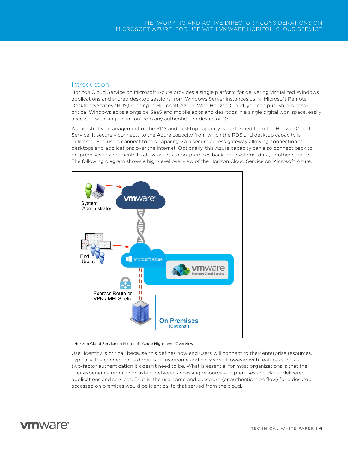### <span id="page-3-0"></span>Introduction

Horizon Cloud Service on Microsoft Azure provides a single platform for delivering virtualized Windows applications and shared desktop sessions from Windows Server instances using Microsoft Remote Desktop Services (RDS) running in Microsoft Azure. With Horizon Cloud, you can publish businesscritical Windows apps alongside SaaS and mobile apps and desktops in a single digital workspace, easily accessed with single sign-on from any authenticated device or OS.

Administrative management of the RDS and desktop capacity is performed from the Horizon Cloud Service. It securely connects to the Azure capacity from which the RDS and desktop capacity is delivered. End users connect to this capacity via a secure access gateway allowing connection to desktops and applications over the Internet. Optionally, this Azure capacity can also connect back to on-premises environments to allow access to on-premises back-end systems, data, or other services. The following diagram shows a high-level overview of the Horizon Cloud Service on Microsoft Azure.



: Horizon Cloud Service on Microsoft Azure High-Level Overview

User identity is critical, because this defines how end users will connect to their enterprise resources. Typically, the connection is done using username and password. However with features such as two-factor authentication it doesn't need to be. What is essential for most organizations is that the user experience remain consistent between accessing resources on premises and cloud-delivered applications and services. That is, the username and password (or authentication flow) for a desktop accessed on premises would be identical to that served from the cloud.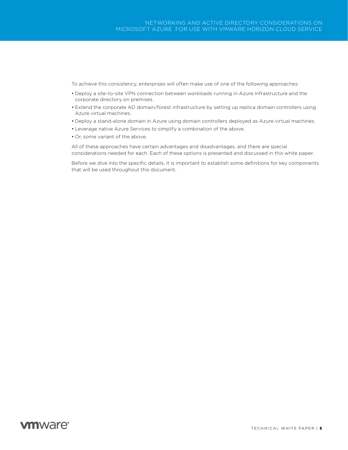To achieve this consistency, enterprises will often make use of one of the following approaches:

- Deploy a site-to-site VPN connection between workloads running in Azure Infrastructure and the corporate directory on premises.
- Extend the corporate AD domain/forest infrastructure by setting up replica domain controllers using Azure virtual machines.
- Deploy a stand-alone domain in Azure using domain controllers deployed as Azure virtual machines.
- Leverage native Azure Services to simplify a combination of the above.
- Or, some variant of the above.

All of these approaches have certain advantages and disadvantages, and there are special considerations needed for each. Each of these options is presented and discussed in this white paper.

Before we dive into the specific details, it is important to establish some definitions for key components that will be used throughout this document.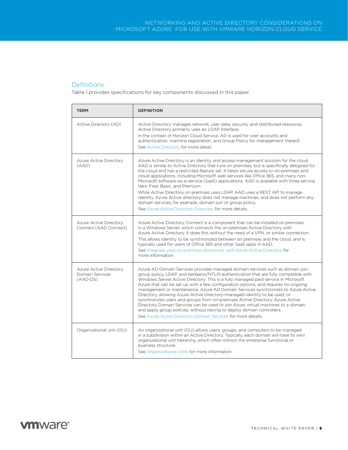## <span id="page-5-0"></span>**Definitions**

Table 1 provides specifications for key components discussed in this paper.

| <b>TERM</b>                                             | <b>DEFINITION</b>                                                                                                                                                                                                                                                                                                                                                                                                                                                                                                                                                                                                                                                                                                                                                                                                                  |
|---------------------------------------------------------|------------------------------------------------------------------------------------------------------------------------------------------------------------------------------------------------------------------------------------------------------------------------------------------------------------------------------------------------------------------------------------------------------------------------------------------------------------------------------------------------------------------------------------------------------------------------------------------------------------------------------------------------------------------------------------------------------------------------------------------------------------------------------------------------------------------------------------|
| Active Directory (AD)                                   | Active Directory manages network, user data, security, and distributed resources.<br>Active Directory primarily uses an LDAP interface.<br>In the context of Horizon Cloud Service. AD is used for user accounts and<br>authentication, machine registration, and Group Policy for management thereof.<br>See Active Directory for more detail.                                                                                                                                                                                                                                                                                                                                                                                                                                                                                    |
| Azure Active Directory<br>(AAD)                         | Azure Active Directory is an identity and access management solution for the cloud.<br>AAD is similar to Active Directory that runs on premises, but is specifically designed for<br>the cloud and has a restricted feature set. It helps secure access to on-premises and<br>cloud applications, including Microsoft web services like Office 365, and many non-<br>Microsoft software-as-a-service (SaaS) applications. AAD is available with three service<br>tiers: Free. Basic. and Premium.<br>While Active Directory on premises uses LDAP, AAD uses a REST API to manage<br>identity. Azure Active directory does not manage machines, and does not perform any<br>domain services, for example, domain join or group policy.<br>See Azure Active Directory Overview for more details.                                     |
| Azure Active Directory<br>Connect (AAD Connect)         | Azure Active Directory Connect is a component that can be installed on premises<br>in a Windows Server, which connects the on-premises Active Directory with<br>Azure Active Directory. It does this without the need of a VPN, or similar connection.<br>This allows identity to be synchronized between on premises and the cloud, and is<br>typically used for users of Office 365 and other SaaS apps in AAD.<br>See Integrate your on-premises directories with Azure Active Directory for<br>more information.                                                                                                                                                                                                                                                                                                               |
| Azure Active Directory<br>Domain Services<br>$(AAD-DS)$ | Azure AD Domain Services provides managed domain services such as domain join,<br>group policy, LDAP, and Kerberos/NTLM authentication that are fully compatible with<br>Windows Server Active Directory. This is a fully managed paid service in Microsoft<br>Azure that can be set up with a few configuration options, and requires no ongoing<br>management or maintenance. Azure AD Domain Services synchronizes to Azure Active<br>Directory, allowing Azure Active Directory-managed identity to be used, or<br>synchronizes users and groups from on-premises Active Directory. Azure Active<br>Directory Domain Services can be used to join Azure virtual machines to a domain<br>and apply group policies, without having to deploy domain controllers.<br>See Azure Active Directory Domain Services for more details. |
| Organizational unit (OU)                                | An organizational unit (OU) allows users, groups, and computers to be managed<br>in a subdivision within an Active Directory. Typically, each domain will have its own<br>organizational unit hierarchy, which often mirrors the enterprise functional or<br>business structure.<br>See Organizational Units for more information.                                                                                                                                                                                                                                                                                                                                                                                                                                                                                                 |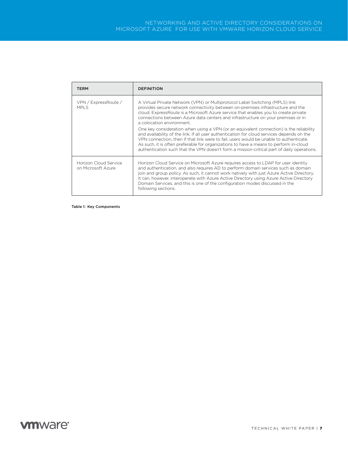| <b>TERM</b>                                 | <b>DEFINITION</b>                                                                                                                                                                                                                                                                                                                                                                                                                                                      |
|---------------------------------------------|------------------------------------------------------------------------------------------------------------------------------------------------------------------------------------------------------------------------------------------------------------------------------------------------------------------------------------------------------------------------------------------------------------------------------------------------------------------------|
| VPN / ExpressRoute /<br>MPI S               | A Virtual Private Network (VPN) or Multiprotocol Label Switching (MPLS) link<br>provides secure network connectivity between on-premises infrastructure and the<br>cloud. ExpressRoute is a Microsoft Azure service that enables you to create private<br>connections between Azure data centers and infrastructure on your premises or in<br>a colocation environment.                                                                                                |
|                                             | One key consideration when using a VPN (or an equivalent connection) is the reliability<br>and availability of the link. If all user authentication for cloud services depends on the<br>VPN connection, then if that link were to fail, users would be unable to authenticate.<br>As such, it is often preferable for organizations to have a means to perform in-cloud<br>authentication such that the VPN doesn't form a mission-critical part of daily operations. |
| Horizon Cloud Service<br>on Microsoft Azure | Horizon Cloud Service on Microsoft Azure requires access to LDAP for user identity<br>and authentication, and also requires AD to perform domain services such as domain<br>join and group policy. As such, it cannot work natively with just Azure Active Directory.<br>It can, however, interoperate with Azure Active Directory using Azure Active Directory<br>Domain Services, and this is one of the configuration modes discussed in the<br>following sections. |

Table 1: Key Components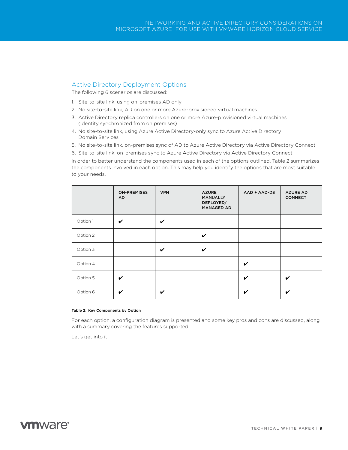### <span id="page-7-0"></span>Active Directory Deployment Options

The following 6 scenarios are discussed:

- 1. Site-to-site link, using on-premises AD only
- 2. No site-to-site link, AD on one or more Azure-provisioned virtual machines
- 3. Active Directory replica controllers on one or more Azure-provisioned virtual machines (identity synchronized from on premises)
- 4. No site-to-site link, using Azure Active Directory-only sync to Azure Active Directory Domain Services
- 5. No site-to-site link, on-premises sync of AD to Azure Active Directory via Active Directory Connect
- 6. Site-to-site link, on-premises sync to Azure Active Directory via Active Directory Connect

In order to better understand the components used in each of the options outlined, Table 2 summarizes the components involved in each option. This may help you identify the options that are most suitable to your needs.

|          | <b>ON-PREMISES</b><br>AD. | <b>VPN</b> | <b>AZURE</b><br><b>MANUALLY</b><br>DEPLOYED/<br><b>MANAGED AD</b> | AAD + AAD-DS | <b>AZURE AD</b><br><b>CONNECT</b> |
|----------|---------------------------|------------|-------------------------------------------------------------------|--------------|-----------------------------------|
| Option 1 | V                         | ✓          |                                                                   |              |                                   |
| Option 2 |                           |            | V                                                                 |              |                                   |
| Option 3 |                           | V          | V                                                                 |              |                                   |
| Option 4 |                           |            |                                                                   | V            |                                   |
| Option 5 | V                         |            |                                                                   | V            | ✓                                 |
| Option 6 | V                         | ✔          |                                                                   | V            | ✓                                 |

#### Table 2: Key Components by Option

For each option, a configuration diagram is presented and some key pros and cons are discussed, along with a summary covering the features supported.

Let's get into it!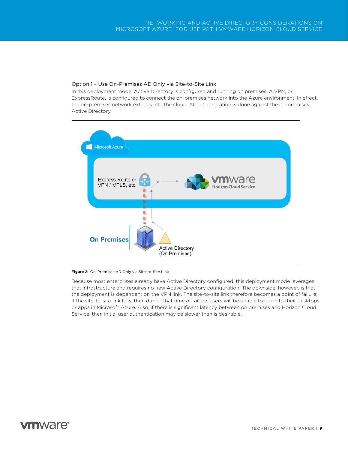### <span id="page-8-0"></span>Option 1 – Use On-Premises AD Only via Site-to-Site Link

In this deployment mode, Active Directory is configured and running on premises. A VPN, or ExpressRoute, is configured to connect the on-premises network into the Azure environment. In effect, the on-premises network extends into the cloud. All authentication is done against the on-premises Active Directory.



Figure 2: On-Premises AD Only via Site-to-Site Link

Because most enterprises already have Active Directory configured, this deployment mode leverages that infrastructure and requires no new Active Directory configuration. The downside, however, is that the deployment is dependent on the VPN link. The site-to-site link therefore becomes a point of failure: If the site-to-site link fails, then during that time of failure, users will be unable to log in to their desktops or apps in Microsoft Azure. Also, if there is significant latency between on premises and Horizon Cloud Service, then initial user authentication may be slower than is desirable.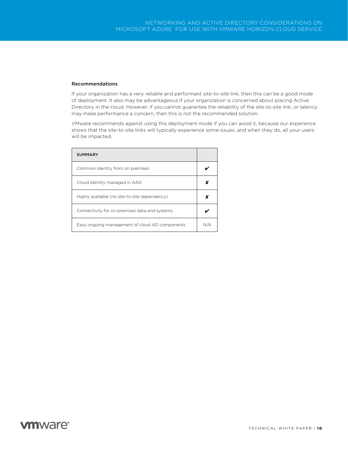#### Recommendations

If your organization has a very reliable and performant site-to-site link, then this can be a good mode of deployment. It also may be advantageous if your organization is concerned about placing Active Directory in the cloud. However, if you cannot guarantee the reliability of the site-to-site link, or latency may make performance a concern, then this is not the recommended solution.

VMware recommends against using this deployment mode if you can avoid it, because our experience shows that the site-to-site links will typically experience some issues, and when they do, all your users will be impacted.

| <b>SUMMARY</b>                                 |  |
|------------------------------------------------|--|
| Common identity from on premises               |  |
| Cloud identity managed in AAD                  |  |
| Highly available (no site-to-site dependency)  |  |
| Connectivity for on-premises data and systems  |  |
| Easy ongoing management of cloud AD components |  |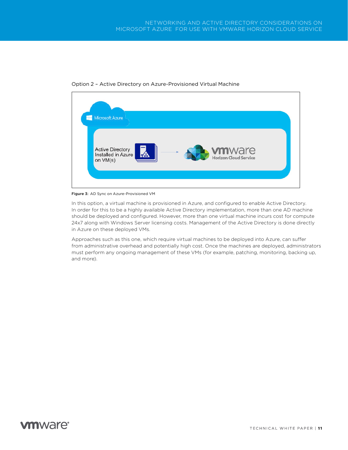

<span id="page-10-0"></span>Option 2 – Active Directory on Azure-Provisioned Virtual Machine

<span id="page-10-1"></span>Figure 3: AD Sync on Azure-Provisioned VM

In this option, a virtual machine is provisioned in Azure, and configured to enable Active Directory. In order for this to be a highly available Active Directory implementation, more than one AD machine should be deployed and configured. However, more than one virtual machine incurs cost for compute 24x7 along with Windows Server licensing costs. Management of the Active Directory is done directly in Azure on these deployed VMs.

Approaches such as this one, which require virtual machines to be deployed into Azure, can suffer from administrative overhead and potentially high cost. Once the machines are deployed, administrators must perform any ongoing management of these VMs (for example, patching, monitoring, backing up, and more).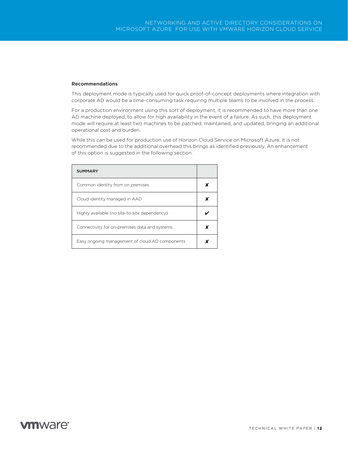#### Recommendations

This deployment mode is typically used for quick proof-of-concept deployments where integration with corporate AD would be a time-consuming task requiring multiple teams to be involved in the process.

For a production environment using this sort of deployment, it is recommended to have more than one AD machine deployed, to allow for high availability in the event of a failure. As such, this deployment mode will require at least two machines to be patched, maintained, and updated, bringing an additional operational cost and burden.

While this *can* be used for production use of Horizon Cloud Service on Microsoft Azure, it is not recommended due to the additional overhead this brings as identified previously. An enhancement of this option is suggested in the following section.

| <b>SUMMARY</b>                                 |   |
|------------------------------------------------|---|
| Common identity from on premises               |   |
| Cloud identity managed in AAD                  |   |
| Highly available (no site-to-site dependency)  |   |
| Connectivity for on-premises data and systems  | x |
| Easy ongoing management of cloud AD components | x |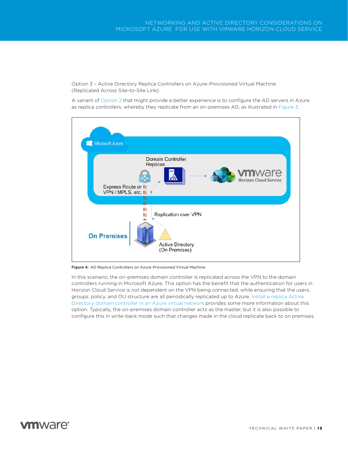<span id="page-12-0"></span>Option 3 – Active Directory Replica Controllers on Azure-Provisioned Virtual Machine (Replicated Across Site-to-Site Link)

A variant of [Option 2](#page-10-0) that might provide a better experience is to configure the AD servers in Azure as replica controllers, whereby they replicate from an on-premises AD, as illustrated in [Figure 3.](#page-10-1)



Figure 4: AD Replica Controllers on Azure-Provisioned Virtual Machine

In this scenario, the on-premises domain controller is replicated across the VPN to the domain controllers running in Microsoft Azure. This option has the benefit that the authentication for users in Horizon Cloud Service is *not* dependent on the VPN being connected, while ensuring that the users, groups, policy, and OU structure are all periodically replicated up to Azure. [Install a replica Active](https://docs.microsoft.com/en-us/azure/active-directory/active-directory-install-replica-active-directory-domain-controller)  [Directory domain controller in an Azure virtual network](https://docs.microsoft.com/en-us/azure/active-directory/active-directory-install-replica-active-directory-domain-controller) provides some more information about this option. Typically, the on-premises domain controller acts as the master, but it is also possible to configure this in write-back mode such that changes made in the cloud replicate back to on premises.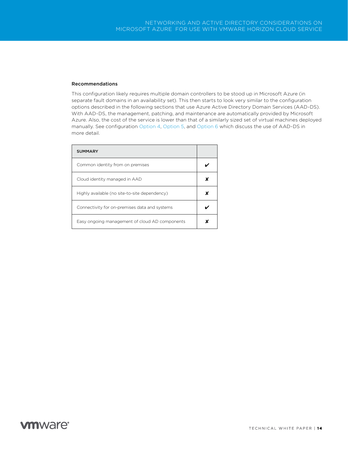#### Recommendations

This configuration likely requires multiple domain controllers to be stood up in Microsoft Azure (in separate fault domains in an availability set). This then starts to look very similar to the configuration options described in the following sections that use Azure Active Directory Domain Services (AAD-DS). With AAD-DS, the management, patching, and maintenance are automatically provided by Microsoft Azure. Also, the cost of the service is lower than that of a similarly sized set of virtual machines deployed manually. See configuration [Option 4](#page-14-0), [Option 5,](#page-15-0) and [Option 6](#page-17-0) which discuss the use of AAD-DS in more detail.

| <b>SUMMARY</b>                                 |  |
|------------------------------------------------|--|
| Common identity from on premises               |  |
| Cloud identity managed in AAD                  |  |
| Highly available (no site-to-site dependency)  |  |
| Connectivity for on-premises data and systems  |  |
| Easy ongoing management of cloud AD components |  |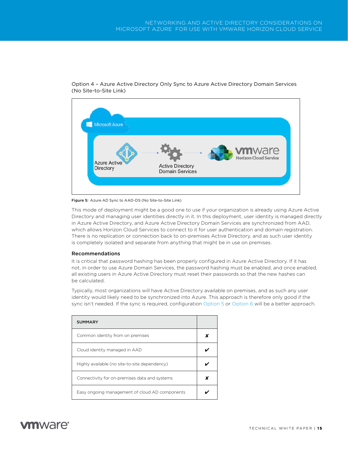

<span id="page-14-0"></span>Option 4 – Azure Active Directory Only Sync to Azure Active Directory Domain Services (No Site-to-Site Link)

Figure 5: Azure AD Sync to AAD-DS (No Site-to-Site Link)

This mode of deployment might be a good one to use if your organization is already using Azure Active Directory and managing user identities directly in it. In this deployment, user identity is managed directly in Azure Active Directory, and Azure Active Directory Domain Services are synchronized from AAD, which allows Horizon Cloud Services to connect to it for user authentication and domain registration. There is no replication or connection back to on-premises Active Directory, and as such user identity is completely isolated and separate from anything that might be in use on premises.

#### Recommendations

It is critical that password hashing has been properly configured in Azure Active Directory. If it has not, in order to use Azure Domain Services, the password hashing must be enabled, and once enabled, all existing users in Azure Active Directory must reset their passwords so that the new hashes can be calculated.

Typically, most organizations will have Active Directory available on premises, and as such any user identity would likely need to be synchronized into Azure. This approach is therefore only good if the sync isn't needed. If the sync is required, configuration [Option 5](#page-15-0) or [Option 6](#page-17-0) will be a better approach.

| <b>SUMMARY</b>                                 |   |
|------------------------------------------------|---|
| Common identity from on premises               |   |
| Cloud identity managed in AAD                  |   |
| Highly available (no site-to-site dependency)  |   |
| Connectivity for on-premises data and systems  | x |
| Easy ongoing management of cloud AD components |   |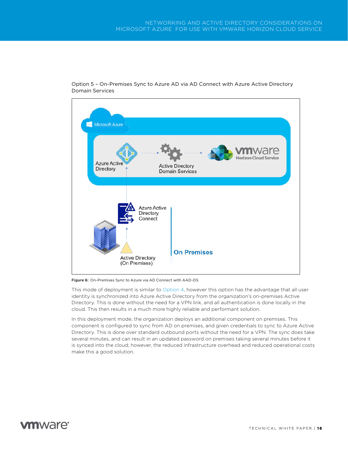

<span id="page-15-0"></span>Option 5 – On-Premises Sync to Azure AD via AD Connect with Azure Active Directory Domain Services

Figure 6: On-Premises Sync to Azure via AD Connect with AAD-DS

This mode of deployment is similar to [Option 4,](#page-14-0) however this option has the advantage that all user identity is synchronized into Azure Active Directory from the organization's on-premises Active Directory. This is done without the need for a VPN link, and all authentication is done locally in the cloud. This then results in a much more highly reliable and performant solution.

In this deployment mode, the organization deploys an additional component on premises. This component is configured to sync from AD on premises, and given credentials to sync to Azure Active Directory. This is done over standard outbound ports without the need for a VPN. The sync does take several minutes, and can result in an updated password on premises taking several minutes before it is synced into the cloud; however, the reduced infrastructure overhead and reduced operational costs make this a good solution.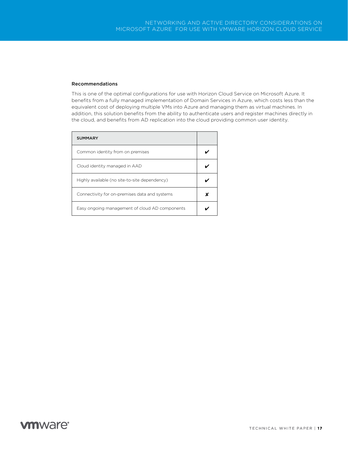#### Recommendations

This is one of the optimal configurations for use with Horizon Cloud Service on Microsoft Azure. It benefits from a fully managed implementation of Domain Services in Azure, which costs less than the equivalent cost of deploying multiple VMs into Azure and managing them as virtual machines. In addition, this solution benefits from the ability to authenticate users and register machines directly in the cloud, and benefits from AD replication into the cloud providing common user identity.

| <b>SUMMARY</b>                                 |  |
|------------------------------------------------|--|
| Common identity from on premises               |  |
| Cloud identity managed in AAD                  |  |
| Highly available (no site-to-site dependency)  |  |
| Connectivity for on-premises data and systems  |  |
| Easy ongoing management of cloud AD components |  |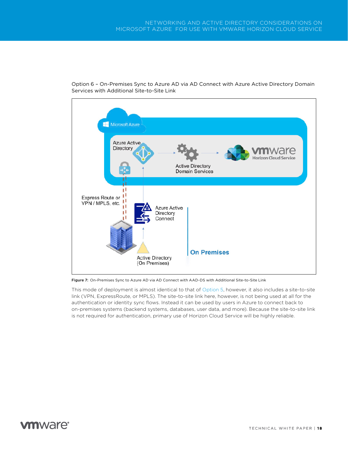

<span id="page-17-0"></span>Option 6 – On-Premises Sync to Azure AD via AD Connect with Azure Active Directory Domain Services with Additional Site-to-Site Link

Figure 7: On-Premises Sync to Azure AD via AD Connect with AAD-DS with Additional Site-to-Site Link

This mode of deployment is almost identical to that of [Option 5](#page-15-0), however, it also includes a site-to-site link (VPN, ExpressRoute, or MPLS). The site-to-site link here, however, is not being used at all for the authentication or identity sync flows. Instead it can be used by users in Azure to connect back to on-premises systems (backend systems, databases, user data, and more). Because the site-to-site link is not required for authentication, primary use of Horizon Cloud Service will be highly reliable.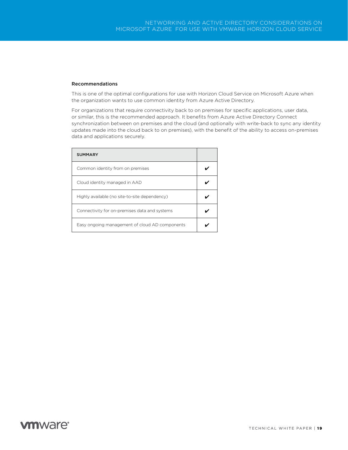#### Recommendations

This is one of the optimal configurations for use with Horizon Cloud Service on Microsoft Azure when the organization wants to use common identity from Azure Active Directory.

For organizations that require connectivity back to on premises for specific applications, user data, or similar, this is the recommended approach. It benefits from Azure Active Directory Connect synchronization between on premises and the cloud (and optionally with write-back to sync any identity updates made into the cloud back to on premises), with the benefit of the ability to access on-premises data and applications securely.

| <b>SUMMARY</b>                                 |  |
|------------------------------------------------|--|
| Common identity from on premises               |  |
| Cloud identity managed in AAD                  |  |
| Highly available (no site-to-site dependency)  |  |
| Connectivity for on-premises data and systems  |  |
| Easy ongoing management of cloud AD components |  |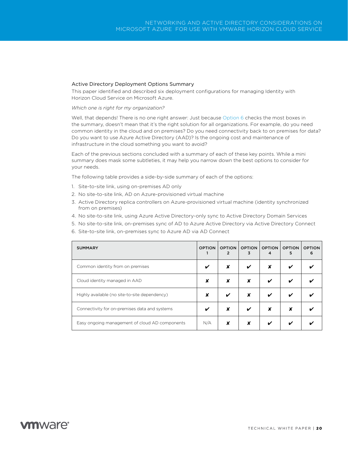#### <span id="page-19-0"></span>Active Directory Deployment Options Summary

This paper identified and described six deployment configurations for managing Identity with Horizon Cloud Service on Microsoft Azure.

#### *Which one is right for my organization?*

Well, that depends! There is no one right answer: Just because [Option 6](#page-17-0) checks the most boxes in the summary, doesn't mean that it's the right solution for all organizations. For example, do you need common identity in the cloud and on premises? Do you need connectivity back to on premises for data? Do you want to use Azure Active Directory (AAD)? Is the ongoing cost and maintenance of infrastructure in the cloud something you want to avoid?

Each of the previous sections concluded with a summary of each of these key points. While a mini summary does mask some subtleties, it may help you narrow down the best options to consider for your needs.

The following table provides a side-by-side summary of each of the options:

- 1. Site-to-site link, using on-premises AD only
- 2. No site-to-site link, AD on Azure-provisioned virtual machine
- 3. Active Directory replica controllers on Azure-provisioned virtual machine (identity synchronized from on premises)
- 4. No site-to-site link, using Azure Active Directory-only sync to Active Directory Domain Services
- 5. No site-to-site link, on-premises sync of AD to Azure Active Directory via Active Directory Connect
- 6. Site-to-site link, on-premises sync to Azure AD via AD Connect

| <b>SUMMARY</b>                                 | <b>OPTION</b> | <b>OPTION</b><br>$\mathfrak{p}$ | <b>OPTION</b><br>3 | <b>OPTION</b><br>4 | <b>OPTION</b><br>5 | <b>OPTION</b><br>6 |
|------------------------------------------------|---------------|---------------------------------|--------------------|--------------------|--------------------|--------------------|
| Common identity from on premises               |               | x                               | ✔                  | X                  |                    |                    |
| Cloud identity managed in AAD                  | x             | X                               | x                  | ✔                  |                    |                    |
| Highly available (no site-to-site dependency)  | x             | ✔                               | x                  |                    |                    |                    |
| Connectivity for on-premises data and systems  |               | x                               | ✓                  | X                  | x                  |                    |
| Easy ongoing management of cloud AD components | N/A           | x                               | x                  |                    |                    |                    |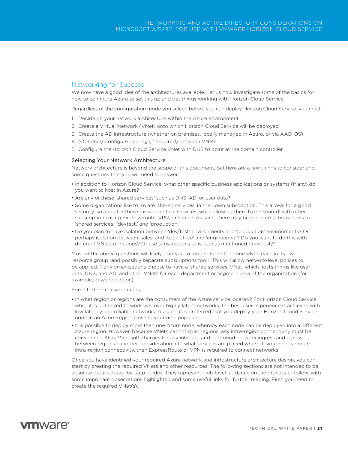### <span id="page-20-0"></span>Networking for Success

We now have a good idea of the architectures available. Let us now investigate some of the basics for how to configure Azure to set this up and get things working with Horizon Cloud Service.

Regardless of the configuration mode you select, before you can deploy Horizon Cloud Service, you must:

- 1. Decide on your network architecture within the Azure environment
- 2. Create a Virtual Network (VNet) onto which Horizon Cloud Service will be deployed
- 3. Create the AD infrastructure (whether on premises, locally managed in Azure, or via AAD-DS)
- 4. (Optional) Configure peering (if required) between VNets
- 5. Configure the Horizon Cloud Service VNet with DNS to point at the domain controller

#### <span id="page-20-1"></span>Selecting Your Network Architecture

Network architecture is beyond the scope of this document, but here are a few things to consider and some questions that you will need to answer:

- In addition to Horizon Cloud Service, what other specific business applications or systems (if any) do you want to host in Azure?
- Are any of these 'shared services' such as DNS, AD, or user data?
- Some organizations like to isolate 'shared services' in their own subscription. This allows for a good security isolation for these mission-critical services, while allowing them to be 'shared' with other subscriptions using ExpressRoute, VPN, or similar. As such, there may be separate subscriptions for 'shared services,' 'devtest,' and 'production.'
- Do you plan to have isolation between 'dev/test' environments and 'production' environments? Or perhaps isolation between 'sales' and 'back office' and 'engineering'? Do you want to do this with different VNets or regions? Or use subscriptions to isolate as mentioned previously?

Most of the above questions will likely lead you to require more than one VNet, each in its own resource group (and possibly separate subscriptions too!). This will allow network-level polices to be applied. Many organizations choose to have a 'shared services' VNet, which hosts things like user data, DNS, and AD, and other VNets for each department or segment area of the organization (for example, dev/production).

Some further considerations:

- In what region or regions are the consumers of the Azure service located? For Horizon Cloud Service, while it is optimized to work well over highly latent networks, the best user experience is achieved with low latency and reliable networks. As such, it is preferred that you deploy your Horizon Cloud Service node in an Azure region close to your user population.
- It is possible to deploy more than one Azure node, whereby each node can be deployed into a different Azure region. However, because VNets cannot span regions, any intra-region connectivity must be considered. Also, Microsoft charges for any inbound and outbound network ingress and egress between regions—another consideration into what services are placed where. If your needs require intra-region connectivity, then ExpressRoute or VPN is required to connect networks.

Once you have identified your required Azure network and infrastructure architecture design, you can start by creating the required VNets and other resources. The following sections are not intended to be absolute detailed step-by-step guides. They represent high-level guidance on the process to follow, with some important observations highlighted and some useful links for further reading. First, you need to create the required VNet(s).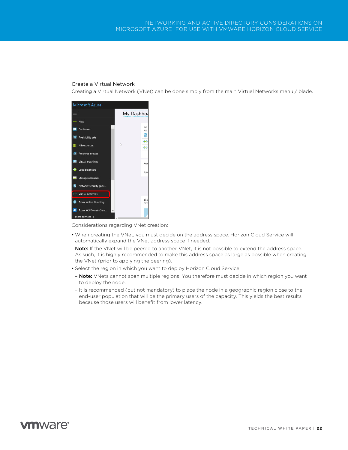### <span id="page-21-0"></span>Create a Virtual Network

Creating a Virtual Network (VNet) can be done simply from the main Virtual Networks menu / blade.



Considerations regarding VNet creation:

• When creating the VNet, you must decide on the address space. Horizon Cloud Service will automatically expand the VNet address space if needed.

Note: If the VNet will be peered to another VNet, it is not possible to extend the address space. As such, it is highly recommended to make this address space as large as possible when creating the VNet (prior to applying the peering).

- Select the region in which you want to deploy Horizon Cloud Service.
- Note: VNets cannot span multiple regions. You therefore must decide in which region you want to deploy the node.
- It is recommended (but not mandatory) to place the node in a geographic region close to the end-user population that will be the primary users of the capacity. This yields the best results because those users will benefit from lower latency.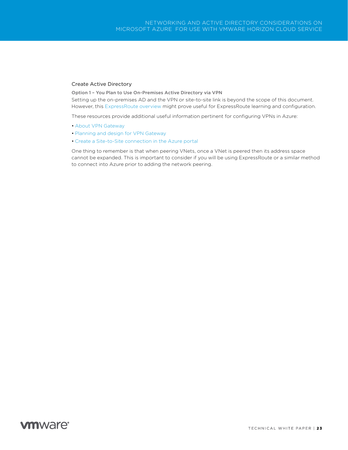### <span id="page-22-0"></span>Create Active Directory

<span id="page-22-1"></span>Option 1 – You Plan to Use On-Premises Active Directory via VPN

Setting up the on-premises AD and the VPN or site-to-site link is beyond the scope of this document. However, this [ExpressRoute overview](https://docs.microsoft.com/en-us/azure/expressroute/expressroute-introduction) might prove useful for ExpressRoute learning and configuration.

These resources provide additional useful information pertinent for configuring VPNs in Azure:

- [About VPN Gateway](https://docs.microsoft.com/en-us/azure/vpn-gateway/vpn-gateway-about-vpngateways)
- [Planning and design for VPN Gateway](https://docs.microsoft.com/en-us/azure/vpn-gateway/vpn-gateway-plan-design)
- [Create a Site-to-Site connection in the Azure portal](https://docs.microsoft.com/en-us/azure/vpn-gateway/vpn-gateway-howto-site-to-site-resource-manager-portal)

One thing to remember is that when peering VNets, once a VNet is peered then its address space cannot be expanded. This is important to consider if you will be using ExpressRoute or a similar method to connect into Azure prior to adding the network peering.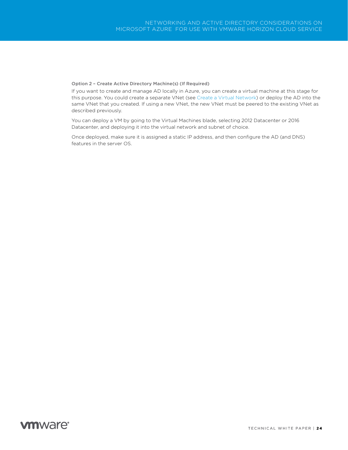#### <span id="page-23-0"></span>Option 2 – Create Active Directory Machine(s) (If Required)

If you want to create and manage AD locally in Azure, you can create a virtual machine at this stage for this purpose. You could create a separate VNet (see [Create a Virtual Network\)](#page-21-0) or deploy the AD into the same VNet that you created. If using a new VNet, the new VNet must be peered to the existing VNet as described previously.

You can deploy a VM by going to the Virtual Machines blade, selecting 2012 Datacenter or 2016 Datacenter, and deploying it into the virtual network and subnet of choice.

Once deployed, make sure it is assigned a static IP address, and then configure the AD (and DNS) features in the server OS.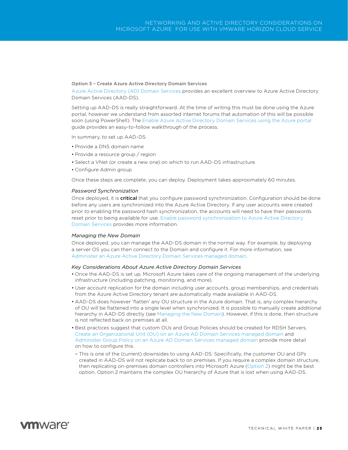#### <span id="page-24-0"></span>Option 3 – Create Azure Active Directory Domain Services

[Azure Active Directory \(AD\) Domain Services](https://docs.microsoft.com/azure/active-directory-domain-services/active-directory-ds-overview) provides an excellent overview to Azure Active Directory Domain Services (AAD-DS).

Setting up AAD-DS is really straightforward. At the time of writing this must be done using the Azure portal, however we understand from assorted internet forums that automation of this will be possible soon (using PowerShell). The [Enable Azure Active Directory Domain Services using the Azure portal](https://docs.microsoft.com/en-us/azure/active-directory-domain-services/active-directory-ds-getting-started)  guide provides an easy-to-follow walkthrough of the process.

In summary, to set up AAD-DS:

- Provide a DNS domain name
- Provide a resource group / region
- Select a VNet (or create a new one) on which to run AAD-DS infrastructure
- Configure Admin group

Once these steps are complete, you can deploy. Deployment takes approximately 60 minutes.

#### *Password Synchronization*

Once deployed, it is **critical** that you configure password synchronization. Configuration should be done before any users are synchronized into the Azure Active Directory. If any user accounts were created prior to enabling the password hash synchronization, the accounts will need to have their passwords reset prior to being available for use. [Enable password synchronization to Azure Active Directory](https://docs.microsoft.com/en-us/azure/active-directory-domain-services/active-directory-ds-getting-started-password-sync-synced-tenant)  [Domain Services](https://docs.microsoft.com/en-us/azure/active-directory-domain-services/active-directory-ds-getting-started-password-sync-synced-tenant) provides more information.

#### <span id="page-24-1"></span>*Managing the New Domain*

Once deployed, you can manage the AAD-DS domain in the normal way. For example, by deploying a server OS you can then connect to the Domain and configure it. For more information, see [Administer an Azure Active Directory Domain Services managed domain.](https://docs.microsoft.com/en-us/azure/active-directory-domain-services/active-directory-ds-admin-guide-administer-domain)

#### *Key Considerations About Azure Active Directory Domain Services*

- Once the AAD-DS is set up, Microsoft Azure takes care of the ongoing management of the underlying infrastructure (including patching, monitoring, and more).
- User account replication for the domain including user accounts, group memberships, and credentials from the Azure Active Directory tenant are automatically made available in AAD-DS.
- AAD-DS does however 'flatten' any OU structure in the Azure domain. That is, any complex hierarchy of OU will be flattened into a single level when synchronized. It is possible to manually create additional hierarchy in AAD-DS directly (see [Managing the New Domain\)](#page-24-1). However, if this is done, then structure is not reflected back on premises at all.
- Best practices suggest that custom OUs and Group Policies should be created for RDSH Servers. [Create an Organizational Unit \(OU\) on an Azure AD Domain Services managed domain](https://docs.microsoft.com/en-us/azure/active-directory-domain-services/active-directory-ds-admin-guide-create-ou) and [Administer Group Policy on an Azure AD Domain Services managed domain](https://docs.microsoft.com/en-us/azure/active-directory-domain-services/active-directory-ds-admin-guide-administer-group-policy) provide more detail on how to configure this.
- This is one of the (current) downsides to using AAD-DS: Specifically, the customer OU and GPs created in AAD-DS will not replicate back to on premises. If you require a complex domain structure, then replicating on-premises domain controllers into Microsoft Azure [\(Option 2\)](#page-10-0) might be the best option. Option 2 maintains the complex OU hierarchy of Azure that is lost when using AAD-DS.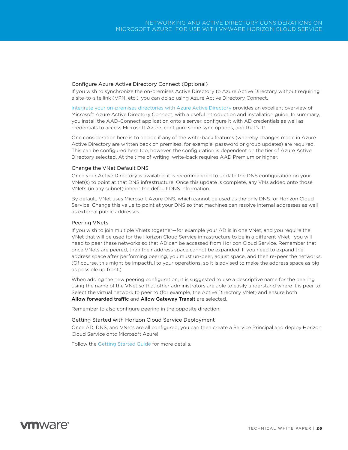#### <span id="page-25-0"></span>Configure Azure Active Directory Connect (Optional)

If you wish to synchronize the on-premises Active Directory to Azure Active Directory without requiring a site-to-site link (VPN, etc.), you can do so using Azure Active Directory Connect.

[Integrate your on-premises directories with Azure Active Directory](https://docs.microsoft.com/en-us/azure/active-directory/connect/active-directory-aadconnect) provides an excellent overview of Microsoft Azure Active Directory Connect, with a useful introduction and installation guide. In summary, you install the AAD-Connect application onto a server, configure it with AD credentials as well as credentials to access Microsoft Azure, configure some sync options, and that's it!

One consideration here is to decide if any of the write-back features (whereby changes made in Azure Active Directory are written back on premises, for example, password or group updates) are required. This can be configured here too, however, the configuration is dependent on the tier of Azure Active Directory selected. At the time of writing, write-back requires AAD Premium or higher.

#### <span id="page-25-1"></span>Change the VNet Default DNS

Once your Active Directory is available, it is recommended to update the DNS configuration on your VNet(s) to point at that DNS infrastructure. Once this update is complete, any VMs added onto those VNets (in any subnet) inherit the default DNS information.

By default, VNet uses Microsoft Azure DNS, which cannot be used as the only DNS for Horizon Cloud Service. Change this value to point at your DNS so that machines can resolve internal addresses as well as external public addresses.

#### <span id="page-25-2"></span>Peering VNets

If you wish to join multiple VNets together—for example your AD is in one VNet, and you require the VNet that will be used for the Horizon Cloud Service infrastructure to be in a different VNet—you will need to peer these networks so that AD can be accessed from Horizon Cloud Service. Remember that once VNets are peered, then their address space cannot be expanded. If you need to expand the address space after performing peering, you must un-peer, adjust space, and then re-peer the networks. (Of course, this might be impactful to your operations, so it is advised to make the address space as big as possible up front.)

When adding the new peering configuration, it is suggested to use a descriptive name for the peering using the name of the VNet so that other administrators are able to easily understand where it is peer to. Select the virtual network to peer to (for example, the Active Directory VNet) and ensure both Allow forwarded traffic and Allow Gateway Transit are selected.

Remember to also configure peering in the opposite direction.

#### <span id="page-25-3"></span>Getting Started with Horizon Cloud Service Deployment

Once AD, DNS, and VNets are all configured, you can then create a Service Principal and deploy Horizon Cloud Service onto Microsoft Azure!

Follow the [Getting Started Guide](http://www.vmware.com/info?id=1438) for more details.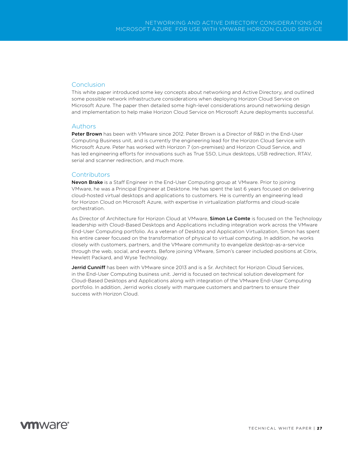### <span id="page-26-0"></span>Conclusion

This white paper introduced some key concepts about networking and Active Directory, and outlined some possible network infrastructure considerations when deploying Horizon Cloud Service on Microsoft Azure. The paper then detailed some high-level considerations around networking design and implementation to help make Horizon Cloud Service on Microsoft Azure deployments successful.

### <span id="page-26-1"></span>Authors

Peter Brown has been with VMware since 2012. Peter Brown is a Director of R&D in the End-User Computing Business unit, and is currently the engineering lead for the Horizon Cloud Service with Microsoft Azure. Peter has worked with Horizon 7 (on-premises) and Horizon Cloud Service, and has led engineering efforts for innovations such as True SSO, Linux desktops, USB redirection, RTAV, serial and scanner redirection, and much more.

### <span id="page-26-2"></span>**Contributors**

Nevon Brake is a Staff Engineer in the End-User Computing group at VMware. Prior to joining VMware, he was a Principal Engineer at Desktone. He has spent the last 6 years focused on delivering cloud-hosted virtual desktops and applications to customers. He is currently an engineering lead for Horizon Cloud on Microsoft Azure, with expertise in virtualization platforms and cloud-scale orchestration.

As Director of Architecture for Horizon Cloud at VMware, Simon Le Comte is focused on the Technology leadership with Cloud-Based Desktops and Applications including integration work across the VMware End-User Computing portfolio. As a veteran of Desktop and Application Virtualization, Simon has spent his entire career focused on the transformation of physical to virtual computing. In addition, he works closely with customers, partners, and the VMware community to evangelize desktop-as-a-service through the web, social, and events. Before joining VMware, Simon's career included positions at Citrix, Hewlett Packard, and Wyse Technology.

Jerrid Cunniff has been with VMware since 2013 and is a Sr. Architect for Horizon Cloud Services, in the End-User Computing business unit. Jerrid is focused on technical solution development for Cloud-Based Desktops and Applications along with integration of the VMware End-User Computing portfolio. In addition, Jerrid works closely with marquee customers and partners to ensure their success with Horizon Cloud.